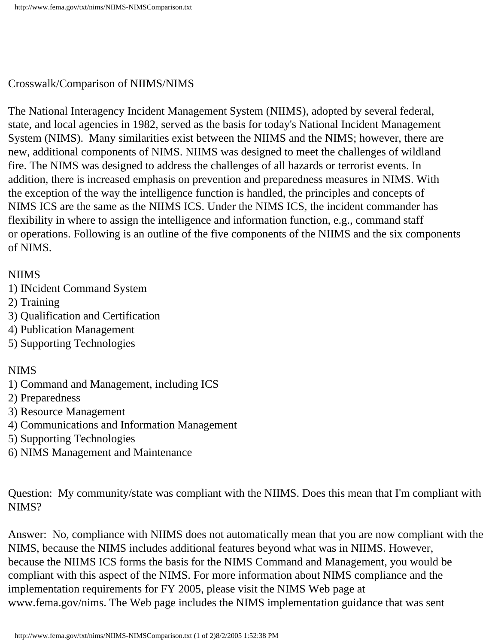## Crosswalk/Comparison of NIIMS/NIMS

The National Interagency Incident Management System (NIIMS), adopted by several federal, state, and local agencies in 1982, served as the basis for today's National Incident Management System (NIMS). Many similarities exist between the NIIMS and the NIMS; however, there are new, additional components of NIMS. NIIMS was designed to meet the challenges of wildland fire. The NIMS was designed to address the challenges of all hazards or terrorist events. In addition, there is increased emphasis on prevention and preparedness measures in NIMS. With the exception of the way the intelligence function is handled, the principles and concepts of NIMS ICS are the same as the NIIMS ICS. Under the NIMS ICS, the incident commander has flexibility in where to assign the intelligence and information function, e.g., command staff or operations. Following is an outline of the five components of the NIIMS and the six components of NIMS.

## NIIMS

- 1) INcident Command System
- 2) Training
- 3) Qualification and Certification
- 4) Publication Management
- 5) Supporting Technologies

## NIMS

- 1) Command and Management, including ICS
- 2) Preparedness
- 3) Resource Management
- 4) Communications and Information Management
- 5) Supporting Technologies
- 6) NIMS Management and Maintenance

Question: My community/state was compliant with the NIIMS. Does this mean that I'm compliant with NIMS?

Answer: No, compliance with NIIMS does not automatically mean that you are now compliant with the NIMS, because the NIMS includes additional features beyond what was in NIIMS. However, because the NIIMS ICS forms the basis for the NIMS Command and Management, you would be compliant with this aspect of the NIMS. For more information about NIMS compliance and the implementation requirements for FY 2005, please visit the NIMS Web page at www.fema.gov/nims. The Web page includes the NIMS implementation guidance that was sent